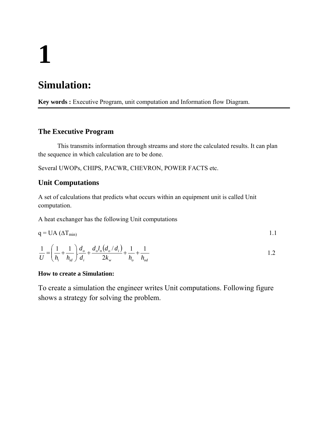# **1**

# **Simulation:**

**Key words :** Executive Program, unit computation and Information flow Diagram.

#### **The Executive Program**

 This transmits information through streams and store the calculated results. It can plan the sequence in which calculation are to be done.

Several UWOPs, CHIPS, PACWR, CHEVRON, POWER FACTS etc.

### **Unit Computations**

A set of calculations that predicts what occurs within an equipment unit is called Unit computation.

A heat exchanger has the following Unit computations

$$
q = UA (\Delta T_{min}) \tag{1.1}
$$

$$
\frac{1}{U} = \left(\frac{1}{h_i} + \frac{1}{h_{id}}\right) \frac{d_o}{d_i} + \frac{d_o l_n \left(d_o / d_i\right)}{2k_w} + \frac{1}{h_o} + \frac{1}{h_{od}}
$$

#### **How to create a Simulation:**

To create a simulation the engineer writes Unit computations. Following figure shows a strategy for solving the problem.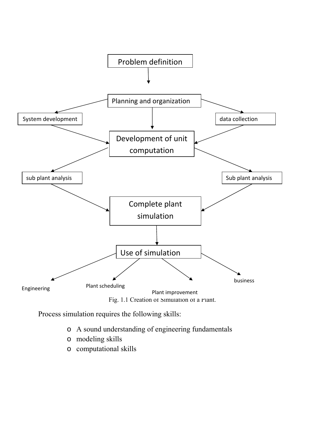

Process simulation requires the following skills:

- o A sound understanding of engineering fundamentals
- o modeling skills
- o computational skills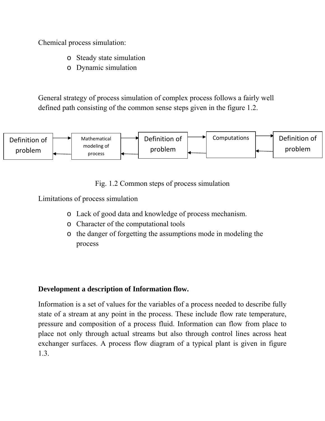Chemical process simulation:

- o Steady state simulation
- o Dynamic simulation

General strategy of process simulation of complex process follows a fairly well defined path consisting of the common sense steps given in the figure 1.2.



Fig. 1.2 Common steps of process simulation

Limitations of process simulation

- o Lack of good data and knowledge of process mechanism.
- o Character of the computational tools
- o the danger of forgetting the assumptions mode in modeling the process

## **Development a description of Information flow.**

Information is a set of values for the variables of a process needed to describe fully state of a stream at any point in the process. These include flow rate temperature, pressure and composition of a process fluid. Information can flow from place to place not only through actual streams but also through control lines across heat exchanger surfaces. A process flow diagram of a typical plant is given in figure 1.3.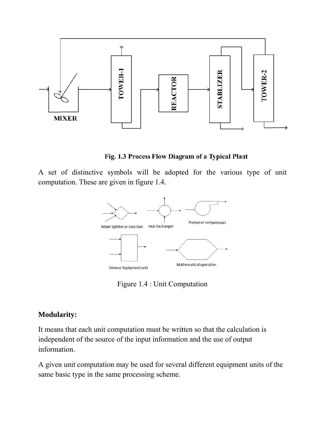

Fig. 1.3 Process Flow Diagram of a Typical Plant

A set of distinctive symbols will be adopted for the various type of unit computation. These are given in figure 1.4.



Figure 1.4 : Unit Computation

# **Modularity:**

It means that each unit computation must be written so that the calculation is independent of the source of the input information and the use of output information.

A given unit computation may be used for several different equipment units of the same basic type in the same processing scheme.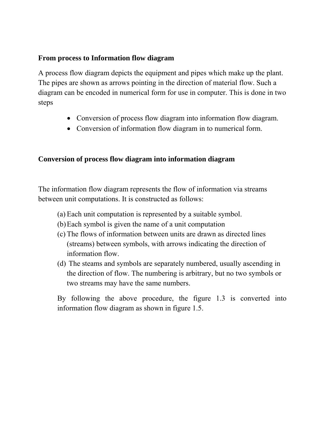# **From process to Information flow diagram**

A process flow diagram depicts the equipment and pipes which make up the plant. The pipes are shown as arrows pointing in the direction of material flow. Such a diagram can be encoded in numerical form for use in computer. This is done in two steps

- Conversion of process flow diagram into information flow diagram.
- Conversion of information flow diagram in to numerical form.

# **Conversion of process flow diagram into information diagram**

The information flow diagram represents the flow of information via streams between unit computations. It is constructed as follows:

- (a) Each unit computation is represented by a suitable symbol.
- (b)Each symbol is given the name of a unit computation
- (c) The flows of information between units are drawn as directed lines (streams) between symbols, with arrows indicating the direction of information flow.
- (d) The steams and symbols are separately numbered, usually ascending in the direction of flow. The numbering is arbitrary, but no two symbols or two streams may have the same numbers.

By following the above procedure, the figure 1.3 is converted into information flow diagram as shown in figure 1.5.